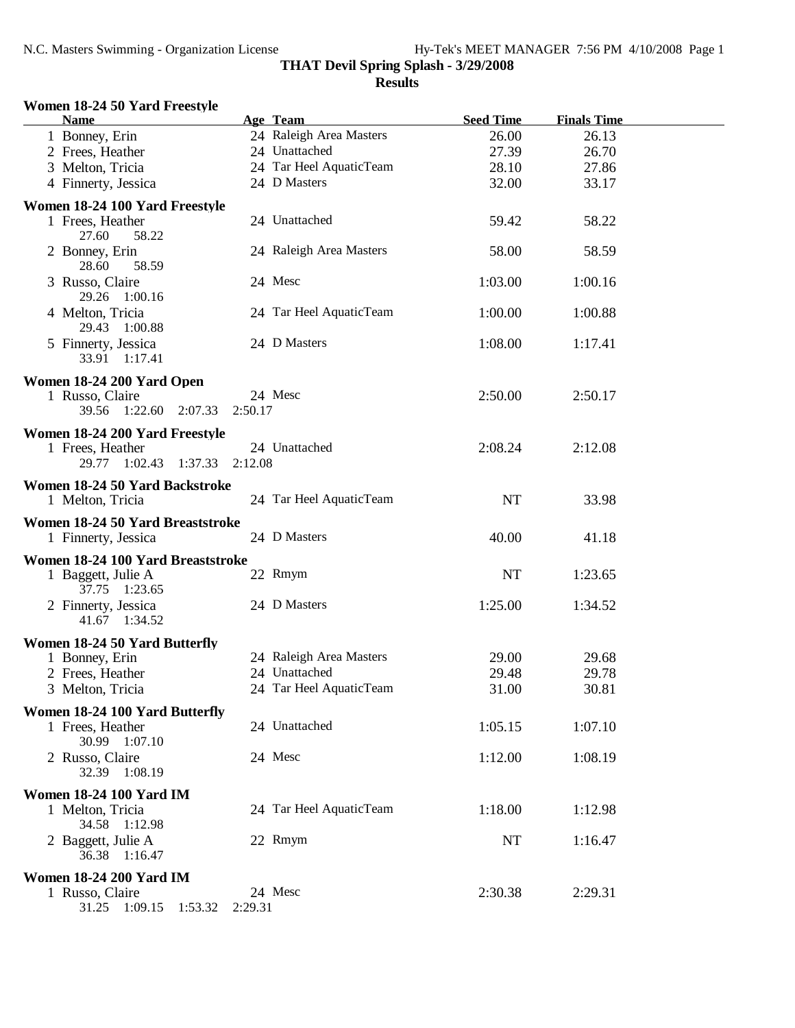#### **THAT Devil Spring Splash - 3/29/2008 Results**

#### **Women 18-24 50 Yard Freestyle**

| <b>Name</b>                                                           | Age Team                            | <b>Seed Time</b> | <b>Finals Time</b> |  |  |
|-----------------------------------------------------------------------|-------------------------------------|------------------|--------------------|--|--|
| 1 Bonney, Erin                                                        | 24 Raleigh Area Masters             | 26.00            | 26.13              |  |  |
| 2 Frees, Heather                                                      | 24 Unattached                       | 27.39            | 26.70              |  |  |
| 3 Melton, Tricia                                                      | 24 Tar Heel AquaticTeam             | 28.10            | 27.86              |  |  |
| 4 Finnerty, Jessica                                                   | 24 D Masters                        | 32.00            | 33.17              |  |  |
| Women 18-24 100 Yard Freestyle                                        |                                     |                  |                    |  |  |
| 1 Frees, Heather                                                      | 24 Unattached                       | 59.42            | 58.22              |  |  |
| 27.60<br>58.22<br>2 Bonney, Erin<br>28.60                             | 24 Raleigh Area Masters             | 58.00            | 58.59              |  |  |
| 58.59<br>3 Russo, Claire<br>29.26 1:00.16                             | 24 Mesc                             | 1:03.00          | 1:00.16            |  |  |
| 4 Melton, Tricia<br>29.43 1:00.88                                     | 24 Tar Heel AquaticTeam             | 1:00.00          | 1:00.88            |  |  |
| 5 Finnerty, Jessica<br>33.91 1:17.41                                  | 24 D Masters                        | 1:08.00          | 1:17.41            |  |  |
| Women 18-24 200 Yard Open<br>1 Russo, Claire<br>39.56 1:22.60 2:07.33 | 24 Mesc<br>2:50.17                  | 2:50.00          | 2:50.17            |  |  |
| Women 18-24 200 Yard Freestyle<br>1 Frees, Heather<br>29.77 1:02.43   | 24 Unattached<br>1:37.33<br>2:12.08 | 2:08.24          | 2:12.08            |  |  |
| Women 18-24 50 Yard Backstroke<br>1 Melton, Tricia                    | 24 Tar Heel AquaticTeam             | <b>NT</b>        | 33.98              |  |  |
| Women 18-24 50 Yard Breaststroke                                      |                                     |                  |                    |  |  |
| 1 Finnerty, Jessica                                                   | 24 D Masters                        | 40.00            | 41.18              |  |  |
| Women 18-24 100 Yard Breaststroke                                     |                                     |                  |                    |  |  |
| 1 Baggett, Julie A<br>37.75 1:23.65                                   | 22 Rmym                             | <b>NT</b>        | 1:23.65            |  |  |
| 2 Finnerty, Jessica<br>41.67 1:34.52                                  | 24 D Masters                        | 1:25.00          | 1:34.52            |  |  |
| Women 18-24 50 Yard Butterfly                                         |                                     |                  |                    |  |  |
| 1 Bonney, Erin                                                        | 24 Raleigh Area Masters             | 29.00            | 29.68              |  |  |
| 2 Frees, Heather                                                      | 24 Unattached                       | 29.48            | 29.78              |  |  |
| 3 Melton, Tricia                                                      | 24 Tar Heel AquaticTeam             | 31.00            | 30.81              |  |  |
|                                                                       |                                     |                  |                    |  |  |
| Women 18-24 100 Yard Butterfly<br>1 Frees, Heather<br>30.99 1:07.10   | 24 Unattached                       | 1:05.15          | 1:07.10            |  |  |
| 2 Russo, Claire<br>32.39 1:08.19                                      | 24 Mesc                             | 1:12.00          | 1:08.19            |  |  |
|                                                                       |                                     |                  |                    |  |  |
| <b>Women 18-24 100 Yard IM</b>                                        |                                     |                  |                    |  |  |
| 1 Melton, Tricia<br>34.58 1:12.98                                     | 24 Tar Heel AquaticTeam             | 1:18.00          | 1:12.98            |  |  |
| 2 Baggett, Julie A<br>36.38 1:16.47                                   | 22 Rmym                             | <b>NT</b>        | 1:16.47            |  |  |
| <b>Women 18-24 200 Yard IM</b>                                        |                                     |                  |                    |  |  |
| 1 Russo, Claire<br>31.25<br>1:09.15                                   | 24 Mesc<br>1:53.32<br>2:29.31       | 2:30.38          | 2:29.31            |  |  |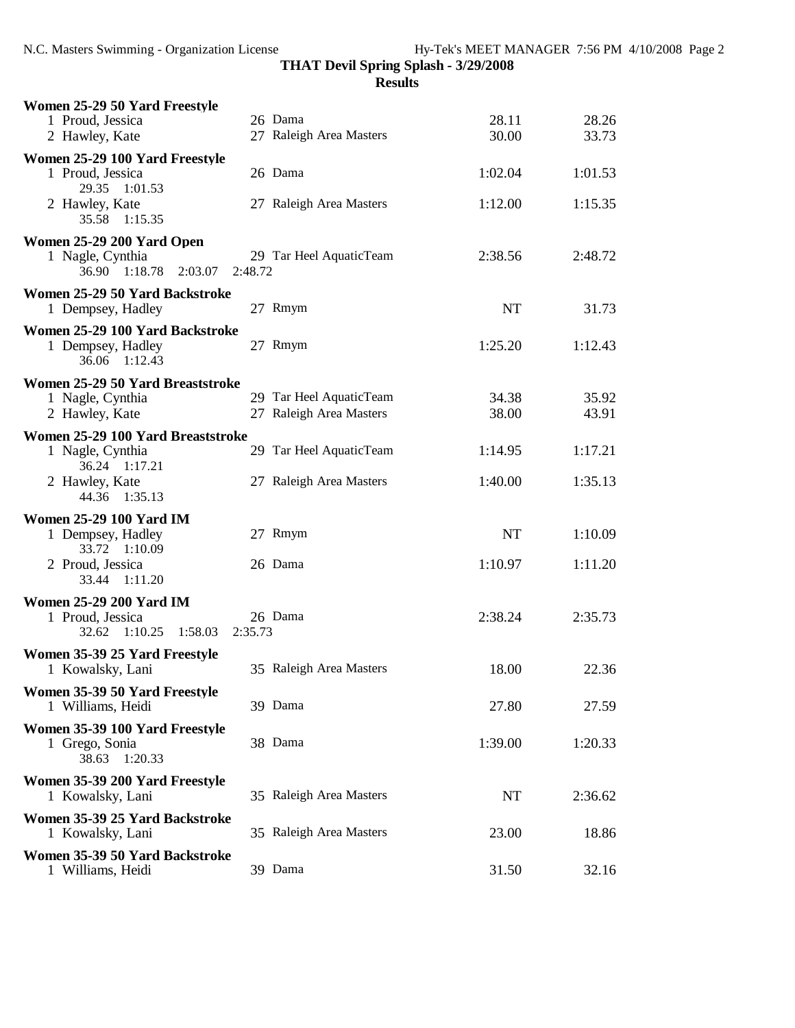| Women 25-29 50 Yard Freestyle                        |         |                                    |                |                |
|------------------------------------------------------|---------|------------------------------------|----------------|----------------|
| 1 Proud, Jessica<br>2 Hawley, Kate                   |         | 26 Dama<br>27 Raleigh Area Masters | 28.11<br>30.00 | 28.26<br>33.73 |
| Women 25-29 100 Yard Freestyle                       |         |                                    |                |                |
| 1 Proud, Jessica<br>29.35 1:01.53                    |         | 26 Dama                            | 1:02.04        | 1:01.53        |
| 2 Hawley, Kate<br>35.58 1:15.35                      |         | 27 Raleigh Area Masters            | 1:12.00        | 1:15.35        |
| Women 25-29 200 Yard Open                            |         |                                    |                |                |
| 1 Nagle, Cynthia<br>36.90 1:18.78<br>2:03.07         | 2:48.72 | 29 Tar Heel AquaticTeam            | 2:38.56        | 2:48.72        |
| Women 25-29 50 Yard Backstroke                       |         |                                    |                |                |
| 1 Dempsey, Hadley                                    |         | 27 Rmym                            | <b>NT</b>      | 31.73          |
| Women 25-29 100 Yard Backstroke<br>1 Dempsey, Hadley |         | 27 Rmym                            | 1:25.20        | 1:12.43        |
| 36.06 1:12.43                                        |         |                                    |                |                |
| Women 25-29 50 Yard Breaststroke                     |         |                                    |                |                |
| 1 Nagle, Cynthia                                     |         | 29 Tar Heel AquaticTeam            | 34.38          | 35.92          |
| 2 Hawley, Kate                                       |         | 27 Raleigh Area Masters            | 38.00          | 43.91          |
| Women 25-29 100 Yard Breaststroke                    |         |                                    |                |                |
| 1 Nagle, Cynthia<br>36.24 1:17.21                    |         | 29 Tar Heel AquaticTeam            | 1:14.95        | 1:17.21        |
| 2 Hawley, Kate<br>44.36 1:35.13                      |         | 27 Raleigh Area Masters            | 1:40.00        | 1:35.13        |
| <b>Women 25-29 100 Yard IM</b>                       |         |                                    |                |                |
| 1 Dempsey, Hadley<br>33.72 1:10.09                   |         | 27 Rmym                            | <b>NT</b>      | 1:10.09        |
| 2 Proud, Jessica<br>33.44 1:11.20                    |         | 26 Dama                            | 1:10.97        | 1:11.20        |
| <b>Women 25-29 200 Yard IM</b>                       |         |                                    |                |                |
| 1 Proud, Jessica                                     |         | 26 Dama                            | 2:38.24        | 2:35.73        |
| $1:10.25$ $1:58.03$<br>32.62                         | 2:35.73 |                                    |                |                |
| Women 35-39 25 Yard Freestyle<br>1 Kowalsky, Lani    |         | 35 Raleigh Area Masters            | 18.00          | 22.36          |
| Women 35-39 50 Yard Freestyle<br>1 Williams, Heidi   |         | 39 Dama                            | 27.80          | 27.59          |
| Women 35-39 100 Yard Freestyle                       |         |                                    |                |                |
| 1 Grego, Sonia<br>38.63<br>1:20.33                   |         | 38 Dama                            | 1:39.00        | 1:20.33        |
| Women 35-39 200 Yard Freestyle                       |         |                                    |                |                |
| 1 Kowalsky, Lani                                     |         | 35 Raleigh Area Masters            | NT             | 2:36.62        |
| Women 35-39 25 Yard Backstroke<br>1 Kowalsky, Lani   |         | 35 Raleigh Area Masters            | 23.00          | 18.86          |
| Women 35-39 50 Yard Backstroke<br>1 Williams, Heidi  |         | 39 Dama                            | 31.50          | 32.16          |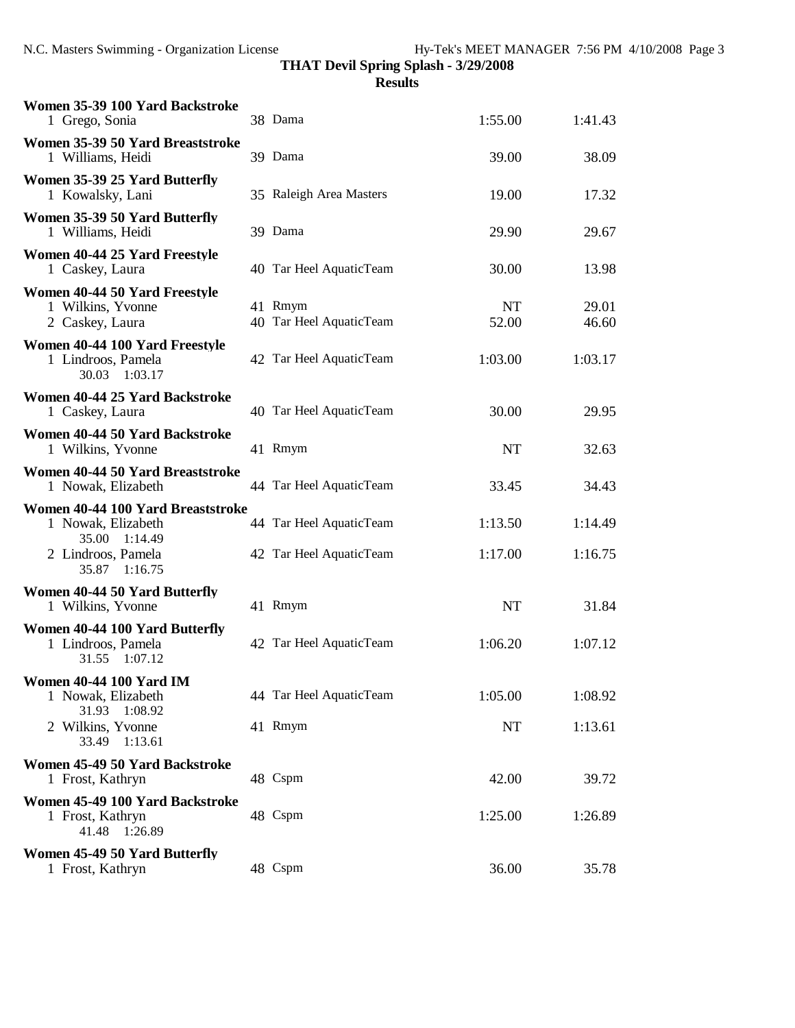| Women 35-39 100 Yard Backstroke<br>1 Grego, Sonia                        | 38 Dama                            | 1:55.00     | 1:41.43        |
|--------------------------------------------------------------------------|------------------------------------|-------------|----------------|
| Women 35-39 50 Yard Breaststroke<br>1 Williams, Heidi                    | 39 Dama                            | 39.00       | 38.09          |
| Women 35-39 25 Yard Butterfly<br>1 Kowalsky, Lani                        | 35 Raleigh Area Masters            | 19.00       | 17.32          |
| Women 35-39 50 Yard Butterfly<br>1 Williams, Heidi                       | 39 Dama                            | 29.90       | 29.67          |
| Women 40-44 25 Yard Freestyle<br>1 Caskey, Laura                         | 40 Tar Heel AquaticTeam            | 30.00       | 13.98          |
| Women 40-44 50 Yard Freestyle<br>1 Wilkins, Yvonne<br>2 Caskey, Laura    | 41 Rmym<br>40 Tar Heel AquaticTeam | NT<br>52.00 | 29.01<br>46.60 |
| Women 40-44 100 Yard Freestyle<br>1 Lindroos, Pamela<br>30.03<br>1:03.17 | 42 Tar Heel AquaticTeam            | 1:03.00     | 1:03.17        |
| Women 40-44 25 Yard Backstroke<br>1 Caskey, Laura                        | 40 Tar Heel AquaticTeam            | 30.00       | 29.95          |
| Women 40-44 50 Yard Backstroke<br>1 Wilkins, Yvonne                      | 41 Rmym                            | <b>NT</b>   | 32.63          |
| Women 40-44 50 Yard Breaststroke<br>1 Nowak, Elizabeth                   | 44 Tar Heel AquaticTeam            | 33.45       | 34.43          |
| Women 40-44 100 Yard Breaststroke<br>1 Nowak, Elizabeth                  | 44 Tar Heel AquaticTeam            | 1:13.50     | 1:14.49        |
| 35.00<br>1:14.49<br>2 Lindroos, Pamela<br>35.87 1:16.75                  | 42 Tar Heel AquaticTeam            | 1:17.00     | 1:16.75        |
| <b>Women 40-44 50 Yard Butterfly</b><br>1 Wilkins, Yvonne                | 41 Rmym                            | NT          | 31.84          |
| Women 40-44 100 Yard Butterfly<br>1 Lindroos, Pamela<br>31.55<br>1:07.12 | 42 Tar Heel AquaticTeam            | 1:06.20     | 1:07.12        |
| <b>Women 40-44 100 Yard IM</b><br>1 Nowak, Elizabeth                     | 44 Tar Heel AquaticTeam            | 1:05.00     | 1:08.92        |
| 31.93<br>1:08.92<br>2 Wilkins, Yvonne<br>33.49 1:13.61                   | 41 Rmym                            | NT          | 1:13.61        |
| Women 45-49 50 Yard Backstroke<br>1 Frost, Kathryn                       | 48 Cspm                            | 42.00       | 39.72          |
| Women 45-49 100 Yard Backstroke<br>1 Frost, Kathryn<br>41.48<br>1:26.89  | 48 Cspm                            | 1:25.00     | 1:26.89        |
| Women 45-49 50 Yard Butterfly<br>1 Frost, Kathryn                        | 48 Cspm                            | 36.00       | 35.78          |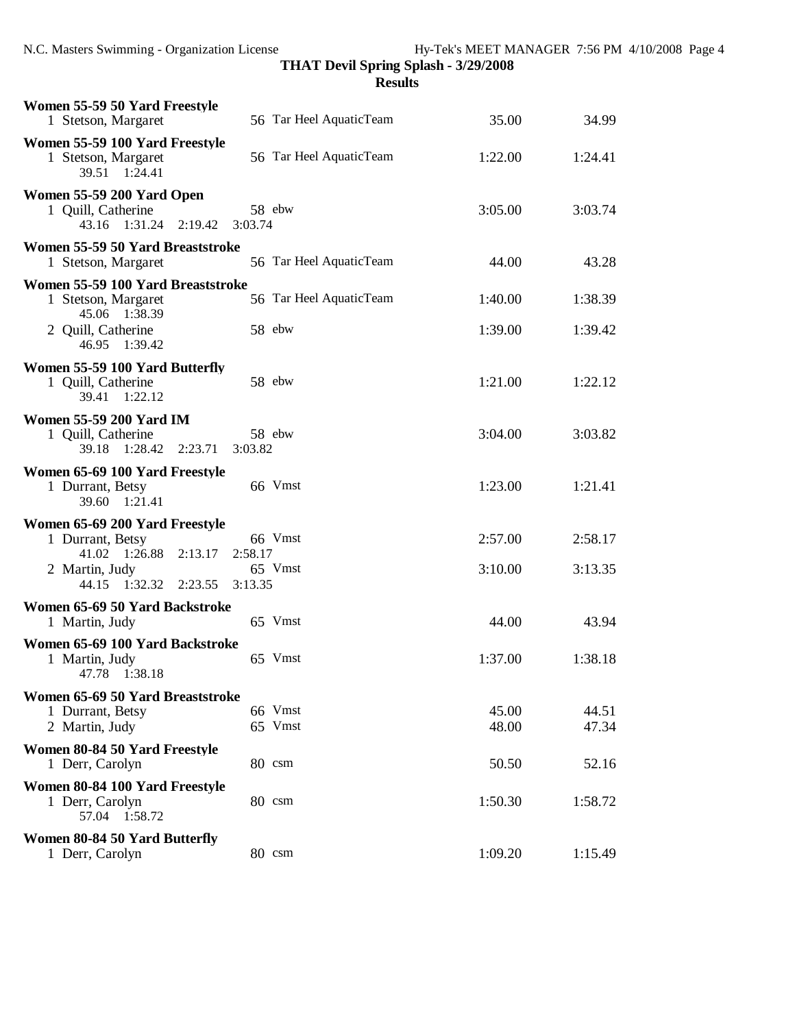| Women 55-59 50 Yard Freestyle<br>1 Stetson, Margaret                                                                      | 56 Tar Heel AquaticTeam                  | 35.00              | 34.99              |
|---------------------------------------------------------------------------------------------------------------------------|------------------------------------------|--------------------|--------------------|
| Women 55-59 100 Yard Freestyle<br>1 Stetson, Margaret<br>39.51 1:24.41                                                    | 56 Tar Heel AquaticTeam                  | 1:22.00            | 1:24.41            |
| Women 55-59 200 Yard Open<br>1 Quill, Catherine<br>43.16 1:31.24 2:19.42                                                  | 58 ebw<br>3:03.74                        | 3:05.00            | 3:03.74            |
| Women 55-59 50 Yard Breaststroke<br>1 Stetson, Margaret                                                                   | 56 Tar Heel AquaticTeam                  | 44.00              | 43.28              |
| Women 55-59 100 Yard Breaststroke<br>1 Stetson, Margaret                                                                  | 56 Tar Heel AquaticTeam                  | 1:40.00            | 1:38.39            |
| 45.06 1:38.39<br>2 Quill, Catherine<br>46.95 1:39.42                                                                      | 58 ebw                                   | 1:39.00            | 1:39.42            |
| Women 55-59 100 Yard Butterfly<br>1 Quill, Catherine<br>39.41<br>1:22.12                                                  | 58 ebw                                   | 1:21.00            | 1:22.12            |
| <b>Women 55-59 200 Yard IM</b><br>1 Quill, Catherine<br>39.18 1:28.42<br>2:23.71                                          | 58 ebw<br>3:03.82                        | 3:04.00            | 3:03.82            |
| Women 65-69 100 Yard Freestyle<br>1 Durrant, Betsy<br>39.60 1:21.41                                                       | 66 Vmst                                  | 1:23.00            | 1:21.41            |
| Women 65-69 200 Yard Freestyle<br>1 Durrant, Betsy<br>41.02 1:26.88<br>2:13.17<br>2 Martin, Judy<br>44.15 1:32.32 2:23.55 | 66 Vmst<br>2:58.17<br>65 Vmst<br>3:13.35 | 2:57.00<br>3:10.00 | 2:58.17<br>3:13.35 |
| Women 65-69 50 Yard Backstroke                                                                                            |                                          |                    |                    |
| 1 Martin, Judy                                                                                                            | 65 Vmst                                  | 44.00              | 43.94              |
| Women 65-69 100 Yard Backstroke<br>1 Martin, Judy<br>1:38.18<br>47.78                                                     | 65 Vmst                                  | 1:37.00            | 1:38.18            |
| Women 65-69 50 Yard Breaststroke<br>1 Durrant, Betsy<br>2 Martin, Judy                                                    | 66 Vmst<br>65 Vmst                       | 45.00<br>48.00     | 44.51<br>47.34     |
| Women 80-84 50 Yard Freestyle<br>1 Derr, Carolyn                                                                          | 80 csm                                   | 50.50              | 52.16              |
| Women 80-84 100 Yard Freestyle<br>1 Derr, Carolyn<br>57.04 1:58.72                                                        | 80 csm                                   | 1:50.30            | 1:58.72            |
| Women 80-84 50 Yard Butterfly<br>1 Derr, Carolyn                                                                          | 80 csm                                   | 1:09.20            | 1:15.49            |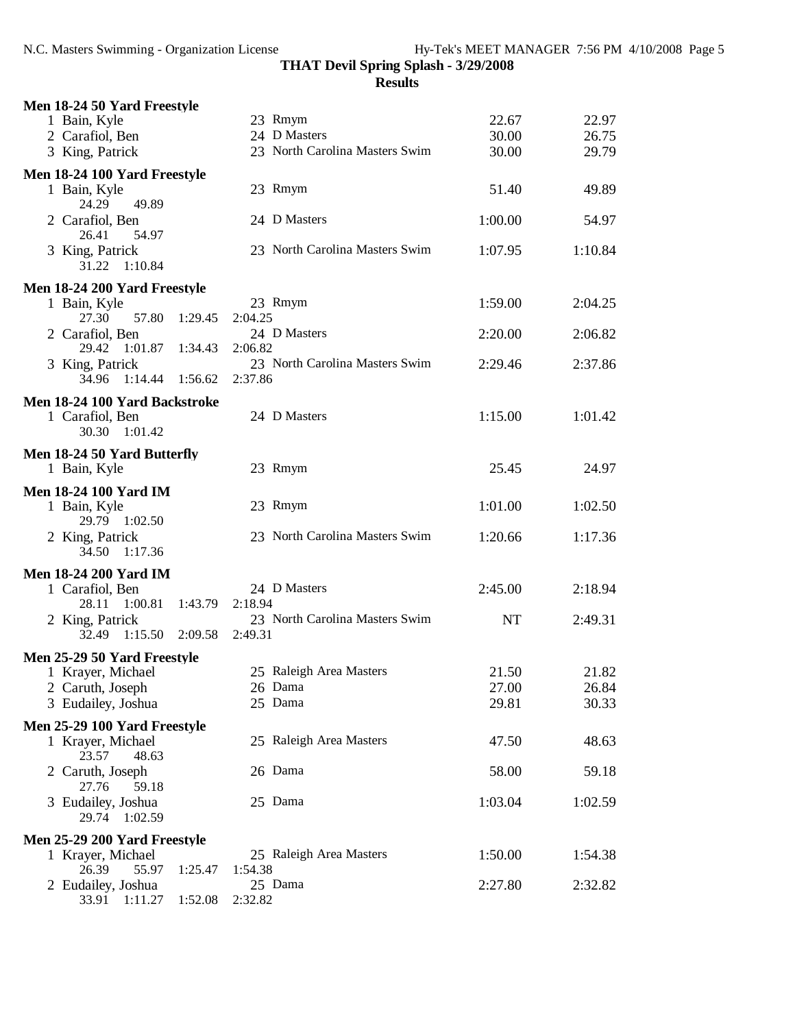| Men 18-24 50 Yard Freestyle   |                                |         |         |
|-------------------------------|--------------------------------|---------|---------|
| 1 Bain, Kyle                  | 23 Rmym                        | 22.67   | 22.97   |
| 2 Carafiol, Ben               | 24 D Masters                   | 30.00   | 26.75   |
| 3 King, Patrick               | 23 North Carolina Masters Swim | 30.00   | 29.79   |
| Men 18-24 100 Yard Freestyle  |                                |         |         |
| 1 Bain, Kyle                  | 23 Rmym                        | 51.40   | 49.89   |
| 24.29<br>49.89                |                                |         |         |
| 2 Carafiol, Ben               | 24 D Masters                   | 1:00.00 | 54.97   |
| 26.41<br>54.97                |                                |         |         |
| 3 King, Patrick               | 23 North Carolina Masters Swim | 1:07.95 | 1:10.84 |
| 31.22 1:10.84                 |                                |         |         |
|                               |                                |         |         |
| Men 18-24 200 Yard Freestyle  |                                |         |         |
| 1 Bain, Kyle                  | 23 Rmym                        | 1:59.00 | 2:04.25 |
| 27.30<br>57.80<br>1:29.45     | 2:04.25                        |         |         |
| 2 Carafiol, Ben               | 24 D Masters                   | 2:20.00 | 2:06.82 |
| 29.42<br>1:01.87<br>1:34.43   | 2:06.82                        |         |         |
| 3 King, Patrick               | 23 North Carolina Masters Swim | 2:29.46 | 2:37.86 |
| 1:56.62<br>34.96<br>1:14.44   | 2:37.86                        |         |         |
| Men 18-24 100 Yard Backstroke |                                |         |         |
| 1 Carafiol, Ben               | 24 D Masters                   | 1:15.00 | 1:01.42 |
| 30.30 1:01.42                 |                                |         |         |
| Men 18-24 50 Yard Butterfly   |                                |         |         |
| 1 Bain, Kyle                  | 23 Rmym                        | 25.45   | 24.97   |
|                               |                                |         |         |
| <b>Men 18-24 100 Yard IM</b>  |                                |         |         |
| 1 Bain, Kyle                  | 23 Rmym                        | 1:01.00 | 1:02.50 |
| 29.79 1:02.50                 |                                |         |         |
| 2 King, Patrick               | 23 North Carolina Masters Swim | 1:20.66 | 1:17.36 |
| 34.50<br>1:17.36              |                                |         |         |
| <b>Men 18-24 200 Yard IM</b>  |                                |         |         |
| 1 Carafiol, Ben               | 24 D Masters                   | 2:45.00 | 2:18.94 |
| 28.11 1:00.81<br>1:43.79      | 2:18.94                        |         |         |
| 2 King, Patrick               | 23 North Carolina Masters Swim | NT      | 2:49.31 |
| 1:15.50<br>32.49<br>2:09.58   | 2:49.31                        |         |         |
| Men 25-29 50 Yard Freestyle   |                                |         |         |
| 1 Krayer, Michael             | 25 Raleigh Area Masters        | 21.50   | 21.82   |
| 2 Caruth, Joseph              | 26 Dama                        | 27.00   | 26.84   |
| 3 Eudailey, Joshua            | 25 Dama                        | 29.81   | 30.33   |
|                               |                                |         |         |
| Men 25-29 100 Yard Freestyle  |                                |         |         |
| 1 Krayer, Michael             | 25 Raleigh Area Masters        | 47.50   | 48.63   |
| 23.57<br>48.63                |                                |         |         |
| 2 Caruth, Joseph              | 26 Dama                        | 58.00   | 59.18   |
| 27.76<br>59.18                |                                |         |         |
| 3 Eudailey, Joshua            | 25 Dama                        | 1:03.04 | 1:02.59 |
| 29.74 1:02.59                 |                                |         |         |
| Men 25-29 200 Yard Freestyle  |                                |         |         |
| 1 Krayer, Michael             | 25 Raleigh Area Masters        | 1:50.00 | 1:54.38 |
| 26.39<br>55.97<br>1:25.47     | 1:54.38                        |         |         |
| 2 Eudailey, Joshua            | 25 Dama                        | 2:27.80 | 2:32.82 |
| 33.91 1:11.27<br>1:52.08      | 2:32.82                        |         |         |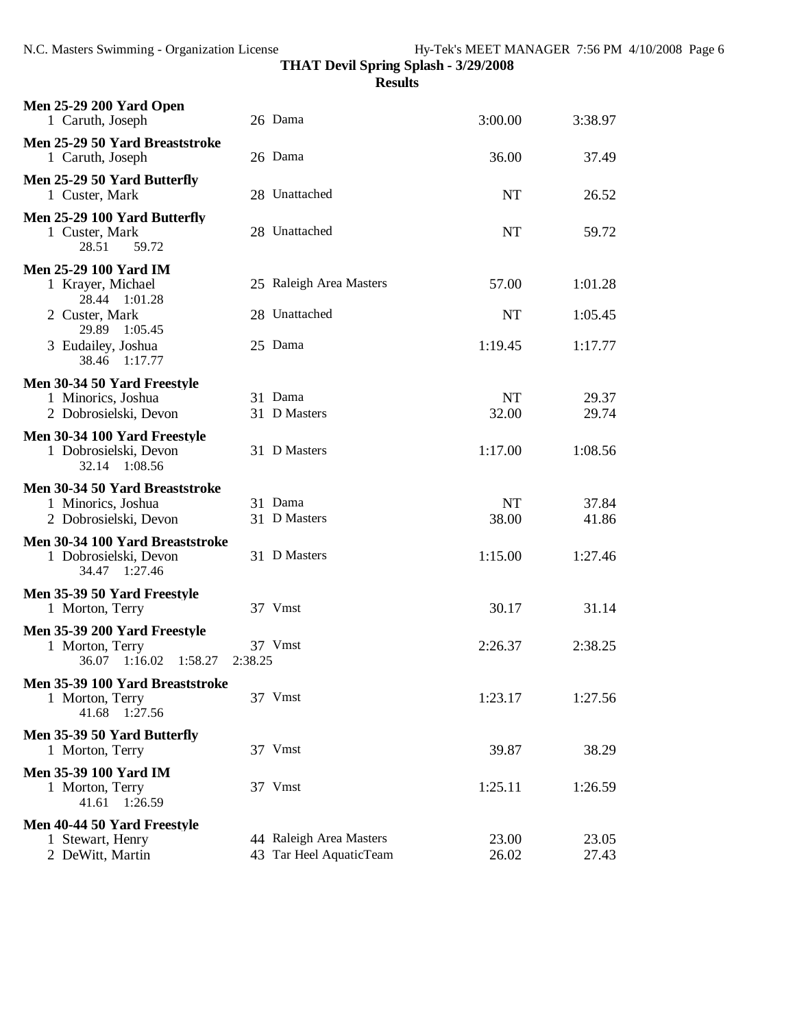| <b>Men 25-29 200 Yard Open</b><br>1 Caruth, Joseph                        |         | 26 Dama                 | 3:00.00   | 3:38.97 |
|---------------------------------------------------------------------------|---------|-------------------------|-----------|---------|
| Men 25-29 50 Yard Breaststroke<br>1 Caruth, Joseph                        |         | 26 Dama                 | 36.00     | 37.49   |
| Men 25-29 50 Yard Butterfly<br>1 Custer, Mark                             |         | 28 Unattached           | <b>NT</b> | 26.52   |
| Men 25-29 100 Yard Butterfly<br>1 Custer, Mark<br>28.51<br>59.72          |         | 28 Unattached           | <b>NT</b> | 59.72   |
| <b>Men 25-29 100 Yard IM</b>                                              |         |                         |           |         |
| 1 Krayer, Michael<br>28.44 1:01.28                                        |         | 25 Raleigh Area Masters | 57.00     | 1:01.28 |
| 2 Custer, Mark<br>29.89 1:05.45                                           |         | 28 Unattached           | <b>NT</b> | 1:05.45 |
| 3 Eudailey, Joshua<br>38.46 1:17.77                                       |         | 25 Dama                 | 1:19.45   | 1:17.77 |
| Men 30-34 50 Yard Freestyle                                               |         |                         |           |         |
| 1 Minorics, Joshua                                                        |         | 31 Dama                 | <b>NT</b> | 29.37   |
| 2 Dobrosielski, Devon                                                     |         | 31 D Masters            | 32.00     | 29.74   |
| Men 30-34 100 Yard Freestyle<br>1 Dobrosielski, Devon<br>32.14<br>1:08.56 |         | 31 D Masters            | 1:17.00   | 1:08.56 |
| Men 30-34 50 Yard Breaststroke                                            |         |                         |           |         |
| 1 Minorics, Joshua                                                        |         | 31 Dama                 | <b>NT</b> | 37.84   |
| 2 Dobrosielski, Devon                                                     |         | 31 D Masters            | 38.00     | 41.86   |
| Men 30-34 100 Yard Breaststroke<br>1 Dobrosielski, Devon<br>34.47 1:27.46 |         | 31 D Masters            | 1:15.00   | 1:27.46 |
| Men 35-39 50 Yard Freestyle<br>1 Morton, Terry                            |         | 37 Vmst                 | 30.17     | 31.14   |
| Men 35-39 200 Yard Freestyle                                              |         |                         |           |         |
| 1 Morton, Terry<br>1:16.02<br>1:58.27<br>36.07                            | 2:38.25 | 37 Vmst                 | 2:26.37   | 2:38.25 |
| Men 35-39 100 Yard Breaststroke                                           |         |                         |           |         |
| 1 Morton, Terry<br>41.68<br>1:27.56                                       |         | 37 Vmst                 | 1:23.17   | 1:27.56 |
| Men 35-39 50 Yard Butterfly<br>1 Morton, Terry                            |         | 37 Vmst                 | 39.87     | 38.29   |
| <b>Men 35-39 100 Yard IM</b><br>1 Morton, Terry<br>41.61<br>1:26.59       |         | 37 Vmst                 | 1:25.11   | 1:26.59 |
| Men 40-44 50 Yard Freestyle                                               |         |                         |           |         |
| 1 Stewart, Henry                                                          |         | 44 Raleigh Area Masters | 23.00     | 23.05   |
| 2 DeWitt, Martin                                                          |         | 43 Tar Heel AquaticTeam | 26.02     | 27.43   |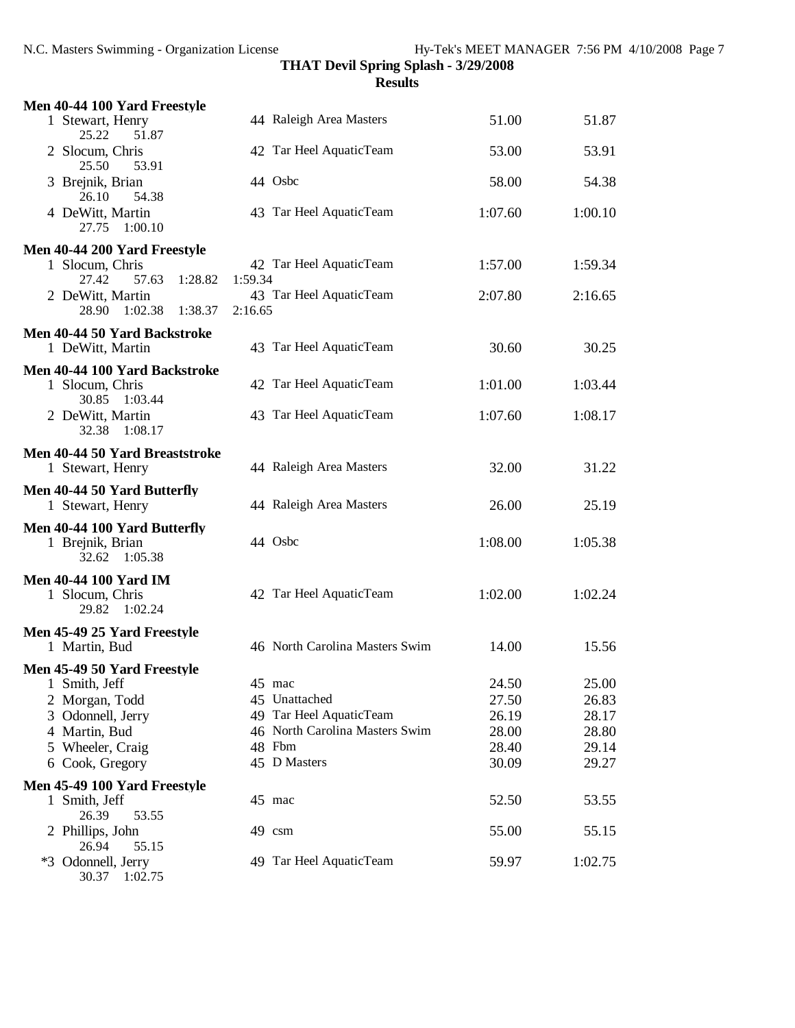| Men 40-44 100 Yard Freestyle                     |                                    |         |         |
|--------------------------------------------------|------------------------------------|---------|---------|
| 1 Stewart, Henry<br>25.22<br>51.87               | 44 Raleigh Area Masters            | 51.00   | 51.87   |
| 2 Slocum, Chris<br>53.91<br>25.50                | 42 Tar Heel AquaticTeam            | 53.00   | 53.91   |
| 3 Brejnik, Brian<br>26.10<br>54.38               | 44 Osbc                            | 58.00   | 54.38   |
| 4 DeWitt, Martin<br>27.75 1:00.10                | 43 Tar Heel AquaticTeam            | 1:07.60 | 1:00.10 |
| Men 40-44 200 Yard Freestyle                     |                                    |         |         |
| 1 Slocum, Chris                                  | 42 Tar Heel AquaticTeam            | 1:57.00 | 1:59.34 |
| 27.42<br>57.63<br>1:28.82                        | 1:59.34                            |         |         |
| 2 DeWitt, Martin<br>1:38.37<br>28.90 1:02.38     | 43 Tar Heel AquaticTeam<br>2:16.65 | 2:07.80 | 2:16.65 |
|                                                  |                                    |         |         |
| Men 40-44 50 Yard Backstroke<br>1 DeWitt, Martin | 43 Tar Heel AquaticTeam            | 30.60   | 30.25   |
|                                                  |                                    |         |         |
| Men 40-44 100 Yard Backstroke                    | 42 Tar Heel AquaticTeam            |         |         |
| 1 Slocum, Chris<br>30.85<br>1:03.44              |                                    | 1:01.00 | 1:03.44 |
| 2 DeWitt, Martin                                 | 43 Tar Heel AquaticTeam            | 1:07.60 | 1:08.17 |
| 32.38 1:08.17                                    |                                    |         |         |
| Men 40-44 50 Yard Breaststroke                   |                                    |         |         |
| 1 Stewart, Henry                                 | 44 Raleigh Area Masters            | 32.00   | 31.22   |
| Men 40-44 50 Yard Butterfly                      |                                    |         |         |
| 1 Stewart, Henry                                 | 44 Raleigh Area Masters            | 26.00   | 25.19   |
| Men 40-44 100 Yard Butterfly                     |                                    |         |         |
| 1 Brejnik, Brian                                 | 44 Osbc                            | 1:08.00 | 1:05.38 |
| 32.62 1:05.38                                    |                                    |         |         |
| <b>Men 40-44 100 Yard IM</b>                     |                                    |         |         |
| 1 Slocum, Chris                                  | 42 Tar Heel AquaticTeam            | 1:02.00 | 1:02.24 |
| 29.82 1:02.24                                    |                                    |         |         |
| Men 45-49 25 Yard Freestyle                      |                                    |         |         |
| 1 Martin, Bud                                    | 46 North Carolina Masters Swim     | 14.00   | 15.56   |
| Men 45-49 50 Yard Freestyle                      |                                    |         |         |
| 1 Smith, Jeff                                    | 45 mac                             | 24.50   | 25.00   |
| 2 Morgan, Todd                                   | 45 Unattached                      | 27.50   | 26.83   |
| 3 Odonnell, Jerry                                | 49 Tar Heel AquaticTeam            | 26.19   | 28.17   |
| 4 Martin, Bud                                    | 46 North Carolina Masters Swim     | 28.00   | 28.80   |
| 5 Wheeler, Craig                                 | 48 Fbm                             | 28.40   | 29.14   |
| 6 Cook, Gregory                                  | 45 D Masters                       | 30.09   | 29.27   |
| Men 45-49 100 Yard Freestyle                     |                                    |         |         |
| 1 Smith, Jeff<br>26.39<br>53.55                  | 45 mac                             | 52.50   | 53.55   |
| 2 Phillips, John                                 | 49 csm                             | 55.00   | 55.15   |
| 26.94<br>55.15                                   |                                    |         |         |
| *3 Odonnell, Jerry                               | 49 Tar Heel AquaticTeam            | 59.97   | 1:02.75 |
| 30.37 1:02.75                                    |                                    |         |         |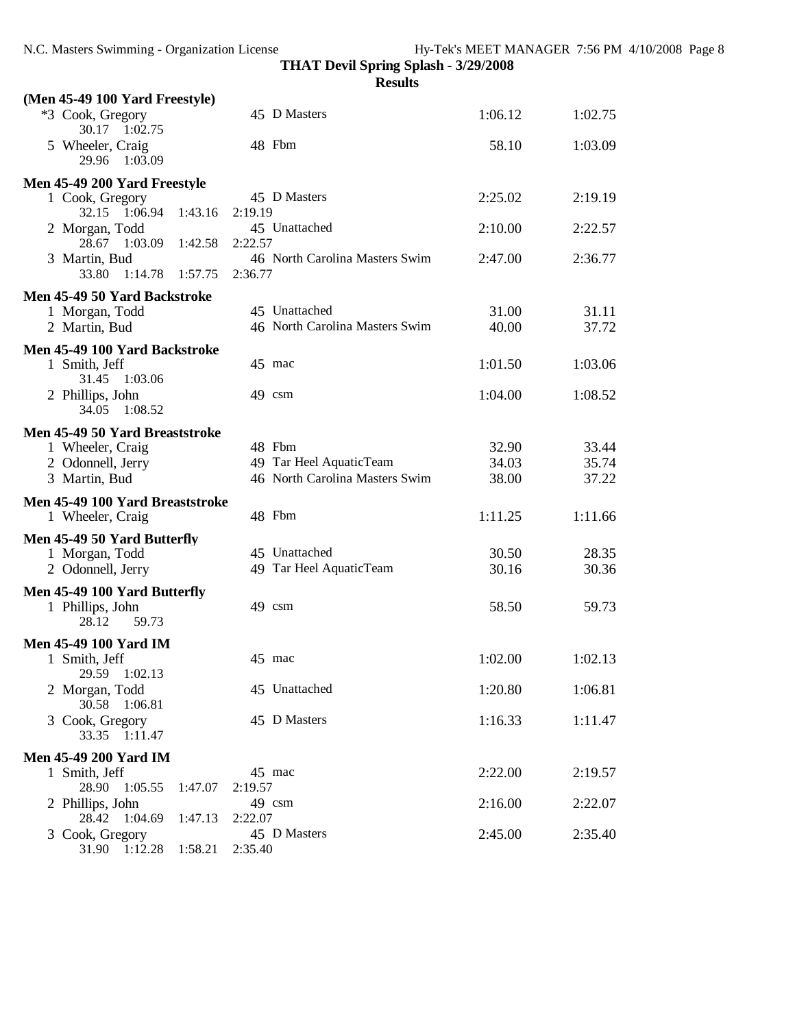| (Men 45-49 100 Yard Freestyle)       |                                |         |         |
|--------------------------------------|--------------------------------|---------|---------|
| *3 Cook, Gregory<br>30.17<br>1:02.75 | 45 D Masters                   | 1:06.12 | 1:02.75 |
| 5 Wheeler, Craig<br>29.96<br>1:03.09 | 48 Fbm                         | 58.10   | 1:03.09 |
| Men 45-49 200 Yard Freestyle         |                                |         |         |
| 1 Cook, Gregory                      | 45 D Masters                   | 2:25.02 | 2:19.19 |
| 32.15 1:06.94<br>1:43.16             | 2:19.19                        |         |         |
| 2 Morgan, Todd                       | 45 Unattached                  | 2:10.00 | 2:22.57 |
| 28.67 1:03.09<br>1:42.58             | 2:22.57                        |         |         |
| 3 Martin, Bud                        | 46 North Carolina Masters Swim | 2:47.00 | 2:36.77 |
| 33.80<br>1:14.78<br>1:57.75          | 2:36.77                        |         |         |
| Men 45-49 50 Yard Backstroke         |                                |         |         |
| 1 Morgan, Todd                       | 45 Unattached                  | 31.00   | 31.11   |
| 2 Martin, Bud                        | 46 North Carolina Masters Swim | 40.00   | 37.72   |
| Men 45-49 100 Yard Backstroke        |                                |         |         |
| 1 Smith, Jeff                        | 45 mac                         | 1:01.50 | 1:03.06 |
| 1:03.06<br>31.45                     |                                |         |         |
| 2 Phillips, John                     | 49 csm                         | 1:04.00 | 1:08.52 |
| 34.05<br>1:08.52                     |                                |         |         |
| Men 45-49 50 Yard Breaststroke       |                                |         |         |
| 1 Wheeler, Craig                     | 48 Fbm                         | 32.90   | 33.44   |
| 2 Odonnell, Jerry                    | 49 Tar Heel AquaticTeam        | 34.03   | 35.74   |
| 3 Martin, Bud                        | 46 North Carolina Masters Swim | 38.00   | 37.22   |
|                                      |                                |         |         |
| Men 45-49 100 Yard Breaststroke      |                                |         |         |
| 1 Wheeler, Craig                     | 48 Fbm                         | 1:11.25 | 1:11.66 |
| Men 45-49 50 Yard Butterfly          |                                |         |         |
| 1 Morgan, Todd                       | 45 Unattached                  | 30.50   | 28.35   |
| 2 Odonnell, Jerry                    | 49 Tar Heel AquaticTeam        | 30.16   | 30.36   |
| Men 45-49 100 Yard Butterfly         |                                |         |         |
| 1 Phillips, John                     | 49 csm                         | 58.50   | 59.73   |
| 28.12<br>59.73                       |                                |         |         |
| <b>Men 45-49 100 Yard IM</b>         |                                |         |         |
| 1 Smith, Jeff                        | 45 mac                         | 1:02.00 | 1:02.13 |
| 29.59 1:02.13                        |                                |         |         |
| 2 Morgan, Todd                       | 45 Unattached                  | 1:20.80 | 1:06.81 |
| 30.58<br>1:06.81                     |                                |         |         |
| 3 Cook, Gregory                      | 45 D Masters                   | 1:16.33 | 1:11.47 |
| 33.35 1:11.47                        |                                |         |         |
| <b>Men 45-49 200 Yard IM</b>         |                                |         |         |
| 1 Smith, Jeff                        | 45 mac                         | 2:22.00 | 2:19.57 |
| 1:05.55<br>28.90<br>1:47.07          | 2:19.57                        |         |         |
| 2 Phillips, John                     | 49 csm                         | 2:16.00 | 2:22.07 |
| 1:04.69<br>1:47.13<br>28.42          | 2:22.07                        |         |         |
| 3 Cook, Gregory                      | 45 D Masters                   | 2:45.00 | 2:35.40 |
| 1:58.21<br>31.90<br>1:12.28          | 2:35.40                        |         |         |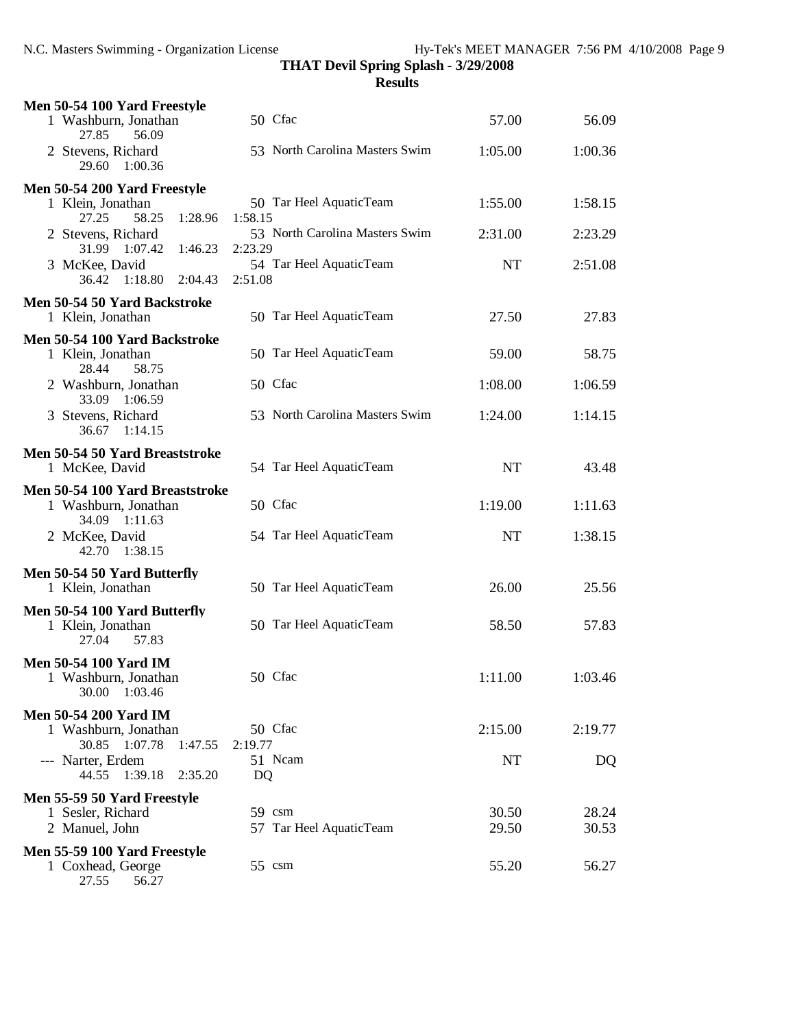| Men 50-54 100 Yard Freestyle                            |                                           |           |         |
|---------------------------------------------------------|-------------------------------------------|-----------|---------|
| 1 Washburn, Jonathan<br>27.85<br>56.09                  | 50 Cfac                                   | 57.00     | 56.09   |
| 2 Stevens, Richard<br>1:00.36<br>29.60                  | 53 North Carolina Masters Swim            | 1:05.00   | 1:00.36 |
| Men 50-54 200 Yard Freestyle                            |                                           |           |         |
| 1 Klein, Jonathan                                       | 50 Tar Heel AquaticTeam                   | 1:55.00   | 1:58.15 |
| 27.25<br>58.25<br>1:28.96<br>2 Stevens, Richard         | 1:58.15<br>53 North Carolina Masters Swim | 2:31.00   | 2:23.29 |
| 31.99<br>1:07.42<br>1:46.23                             | 2:23.29                                   | <b>NT</b> | 2:51.08 |
| 3 McKee, David<br>36.42 1:18.80<br>2:04.43              | 54 Tar Heel AquaticTeam<br>2:51.08        |           |         |
| Men 50-54 50 Yard Backstroke                            |                                           |           |         |
| 1 Klein, Jonathan                                       | 50 Tar Heel AquaticTeam                   | 27.50     | 27.83   |
| Men 50-54 100 Yard Backstroke                           |                                           |           |         |
| 1 Klein, Jonathan<br>58.75<br>28.44                     | 50 Tar Heel AquaticTeam                   | 59.00     | 58.75   |
| 2 Washburn, Jonathan                                    | 50 Cfac                                   | 1:08.00   | 1:06.59 |
| 33.09 1:06.59<br>3 Stevens, Richard                     | 53 North Carolina Masters Swim            | 1:24.00   | 1:14.15 |
| 36.67 1:14.15                                           |                                           |           |         |
| Men 50-54 50 Yard Breaststroke<br>1 McKee, David        | 54 Tar Heel AquaticTeam                   | <b>NT</b> | 43.48   |
|                                                         |                                           |           |         |
| Men 50-54 100 Yard Breaststroke<br>1 Washburn, Jonathan | 50 Cfac                                   | 1:19.00   | 1:11.63 |
| 34.09<br>1:11.63<br>2 McKee, David                      | 54 Tar Heel AquaticTeam                   | <b>NT</b> | 1:38.15 |
| 42.70<br>1:38.15                                        |                                           |           |         |
| Men 50-54 50 Yard Butterfly<br>1 Klein, Jonathan        | 50 Tar Heel AquaticTeam                   | 26.00     | 25.56   |
| Men 50-54 100 Yard Butterfly                            |                                           |           |         |
| 1 Klein, Jonathan<br>27.04<br>57.83                     | 50 Tar Heel AquaticTeam                   | 58.50     | 57.83   |
| <b>Men 50-54 100 Yard IM</b>                            |                                           |           |         |
| 1 Washburn, Jonathan<br>30.00<br>1:03.46                | 50 Cfac                                   | 1:11.00   | 1:03.46 |
|                                                         |                                           |           |         |
| <b>Men 50-54 200 Yard IM</b><br>1 Washburn, Jonathan    | 50 Cfac                                   | 2:15.00   | 2:19.77 |
| 30.85 1:07.78<br>1:47.55                                | 2:19.77                                   |           |         |
| --- Narter, Erdem<br>44.55<br>1:39.18<br>2:35.20        | 51 Neam<br>DQ                             | <b>NT</b> | DQ      |
| Men 55-59 50 Yard Freestyle                             |                                           |           |         |
| 1 Sesler, Richard                                       | $59$ csm                                  | 30.50     | 28.24   |
| 2 Manuel, John                                          | 57 Tar Heel AquaticTeam                   | 29.50     | 30.53   |
| Men 55-59 100 Yard Freestyle                            |                                           |           |         |
| 1 Coxhead, George<br>27.55<br>56.27                     | $55$ csm                                  | 55.20     | 56.27   |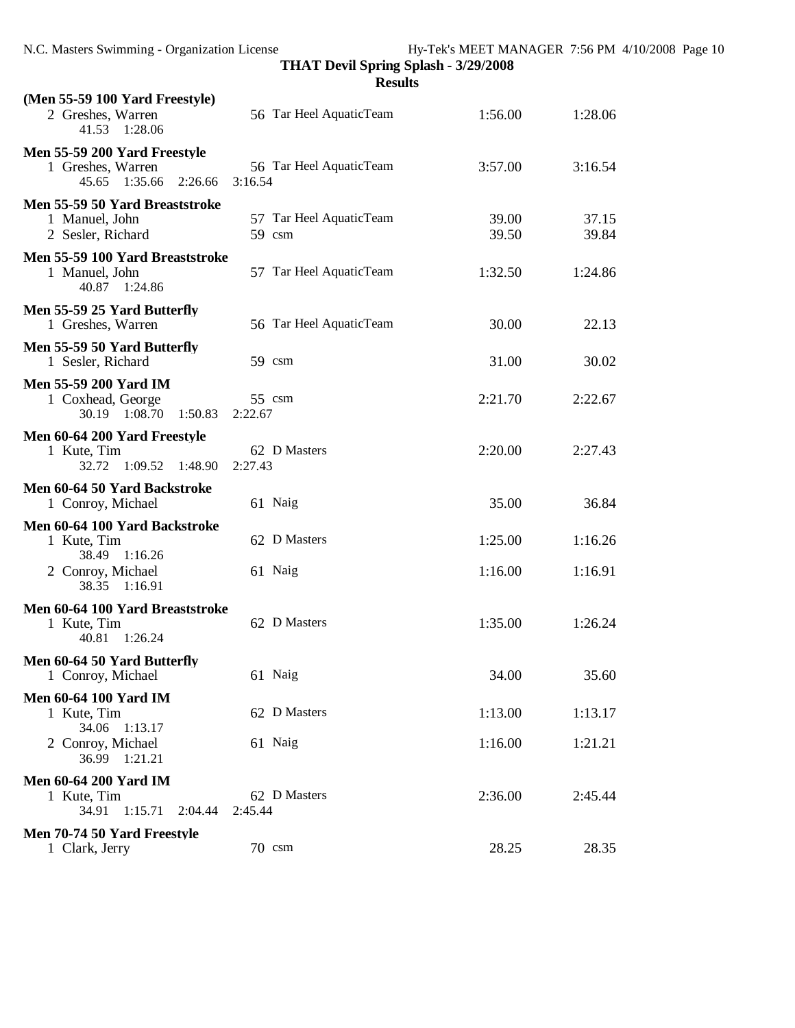| (Men 55-59 100 Yard Freestyle)<br>2 Greshes, Warren<br>41.53 1:28.06        | 56 Tar Heel AquaticTeam             | 1:56.00        | 1:28.06        |
|-----------------------------------------------------------------------------|-------------------------------------|----------------|----------------|
| Men 55-59 200 Yard Freestyle<br>1 Greshes, Warren<br>45.65 1:35.66 2:26.66  | 56 Tar Heel AquaticTeam<br>3:16.54  | 3:57.00        | 3:16.54        |
| Men 55-59 50 Yard Breaststroke<br>1 Manuel, John<br>2 Sesler, Richard       | 57 Tar Heel AquaticTeam<br>$59$ csm | 39.00<br>39.50 | 37.15<br>39.84 |
| Men 55-59 100 Yard Breaststroke<br>1 Manuel, John<br>40.87 1:24.86          | 57 Tar Heel AquaticTeam             | 1:32.50        | 1:24.86        |
| Men 55-59 25 Yard Butterfly<br>1 Greshes, Warren                            | 56 Tar Heel AquaticTeam             | 30.00          | 22.13          |
| Men 55-59 50 Yard Butterfly<br>1 Sesler, Richard                            | $59$ csm                            | 31.00          | 30.02          |
| Men 55-59 200 Yard IM<br>1 Coxhead, George<br>30.19 1:08.70<br>1:50.83      | $55$ csm<br>2:22.67                 | 2:21.70        | 2:22.67        |
| Men 60-64 200 Yard Freestyle<br>1 Kute, Tim<br>32.72<br>$1:09.52$ $1:48.90$ | 62 D Masters<br>2:27.43             | 2:20.00        | 2:27.43        |
| Men 60-64 50 Yard Backstroke<br>1 Conroy, Michael                           | 61 Naig                             | 35.00          | 36.84          |
| Men 60-64 100 Yard Backstroke<br>1 Kute, Tim                                | 62 D Masters                        | 1:25.00        | 1:16.26        |
| 38.49 1:16.26<br>2 Conroy, Michael<br>38.35<br>1:16.91                      | 61 Naig                             | 1:16.00        | 1:16.91        |
| Men 60-64 100 Yard Breaststroke<br>1 Kute, Tim<br>1:26.24<br>40.81          | 62 D Masters                        | 1:35.00        | 1:26.24        |
| Men 60-64 50 Yard Butterfly<br>1 Conroy, Michael                            | 61 Naig                             | 34.00          | 35.60          |
| <b>Men 60-64 100 Yard IM</b><br>1 Kute, Tim<br>34.06<br>1:13.17             | 62 D Masters                        | 1:13.00        | 1:13.17        |
| 2 Conroy, Michael<br>36.99 1:21.21                                          | 61 Naig                             | 1:16.00        | 1:21.21        |
| <b>Men 60-64 200 Yard IM</b><br>1 Kute, Tim<br>34.91 1:15.71<br>2:04.44     | 62 D Masters<br>2:45.44             | 2:36.00        | 2:45.44        |
|                                                                             |                                     |                |                |